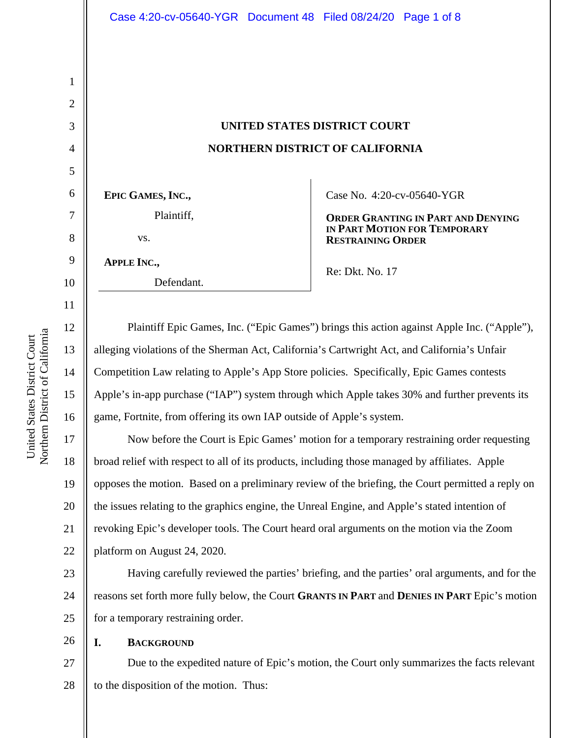# **UNITED STATES DISTRICT COURT NORTHERN DISTRICT OF CALIFORNIA**

**EPIC GAMES, INC.,**

Plaintiff,

vs.

**APPLE INC.,** 

1

2

3

4

5

6

7

8

9

10

11

12

13

14

15

16

17

18

19

20

21

22

Defendant.

Case No.4:20-cv-05640-YGR

## **ORDER GRANTING IN PART AND DENYING IN PART MOTION FOR TEMPORARY RESTRAINING ORDER**

Re: Dkt. No. 17

Plaintiff Epic Games, Inc. ("Epic Games") brings this action against Apple Inc. ("Apple"), alleging violations of the Sherman Act, California's Cartwright Act, and California's Unfair Competition Law relating to Apple's App Store policies. Specifically, Epic Games contests Apple's in-app purchase ("IAP") system through which Apple takes 30% and further prevents its game, Fortnite, from offering its own IAP outside of Apple's system.

Now before the Court is Epic Games' motion for a temporary restraining order requesting broad relief with respect to all of its products, including those managed by affiliates. Apple opposes the motion. Based on a preliminary review of the briefing, the Court permitted a reply on the issues relating to the graphics engine, the Unreal Engine, and Apple's stated intention of revoking Epic's developer tools. The Court heard oral arguments on the motion via the Zoom platform on August 24, 2020.

23 24 25 Having carefully reviewed the parties' briefing, and the parties' oral arguments, and for the reasons set forth more fully below, the Court **GRANTS IN PART** and **DENIES IN PART** Epic's motion for a temporary restraining order.

#### 26 **I. BACKGROUND**

27 Due to the expedited nature of Epic's motion, the Court only summarizes the facts relevant to the disposition of the motion. Thus: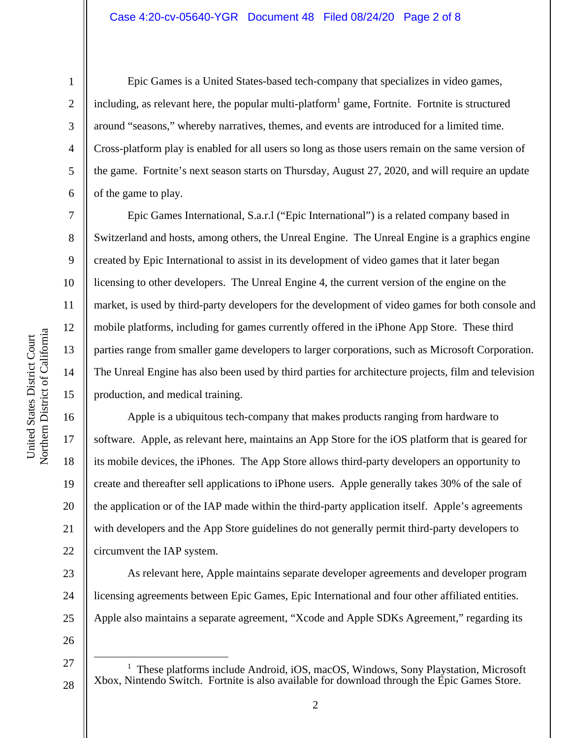### Case 4:20-cv-05640-YGR Document 48 Filed 08/24/20 Page 2 of 8

1

2

3

4

5

6

7

8

9

10

11

12

13

14

15

16

17

18

19

20

21

22

Epic Games is a United States-based tech-company that specializes in video games, including, as relevant here, the popular multi-platform<sup>1</sup> game, Fortnite. Fortnite is structured around "seasons," whereby narratives, themes, and events are introduced for a limited time. Cross-platform play is enabled for all users so long as those users remain on the same version of the game. Fortnite's next season starts on Thursday, August 27, 2020, and will require an update of the game to play.

Epic Games International, S.a.r.l ("Epic International") is a related company based in Switzerland and hosts, among others, the Unreal Engine. The Unreal Engine is a graphics engine created by Epic International to assist in its development of video games that it later began licensing to other developers. The Unreal Engine 4, the current version of the engine on the market, is used by third-party developers for the development of video games for both console and mobile platforms, including for games currently offered in the iPhone App Store. These third parties range from smaller game developers to larger corporations, such as Microsoft Corporation. The Unreal Engine has also been used by third parties for architecture projects, film and television production, and medical training.

Apple is a ubiquitous tech-company that makes products ranging from hardware to software. Apple, as relevant here, maintains an App Store for the iOS platform that is geared for its mobile devices, the iPhones. The App Store allows third-party developers an opportunity to create and thereafter sell applications to iPhone users. Apple generally takes 30% of the sale of the application or of the IAP made within the third-party application itself. Apple's agreements with developers and the App Store guidelines do not generally permit third-party developers to circumvent the IAP system.

23 24 25 As relevant here, Apple maintains separate developer agreements and developer program licensing agreements between Epic Games, Epic International and four other affiliated entities. Apple also maintains a separate agreement, "Xcode and Apple SDKs Agreement," regarding its

26

27

<sup>&</sup>lt;sup>1</sup> These platforms include Android, iOS, macOS, Windows, Sony Playstation, Microsoft Xbox, Nintendo Switch. Fortnite is also available for download through the Epic Games Store.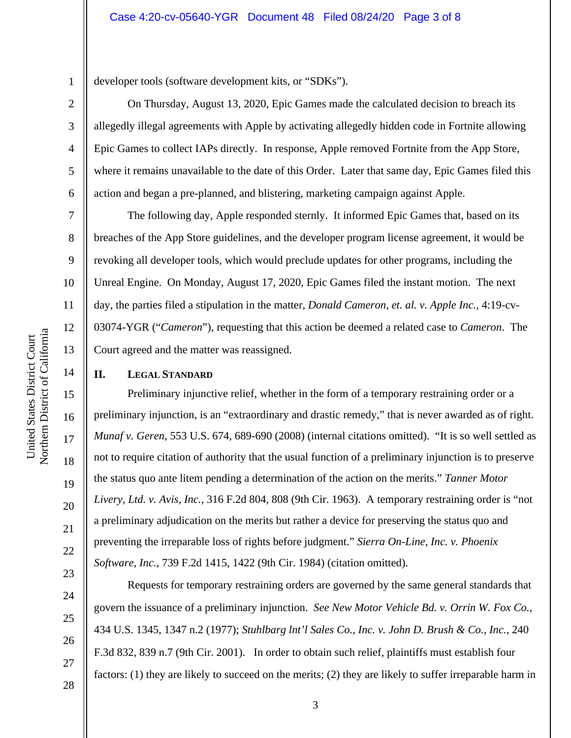1 developer tools (software development kits, or "SDKs").

On Thursday, August 13, 2020, Epic Games made the calculated decision to breach its allegedly illegal agreements with Apple by activating allegedly hidden code in Fortnite allowing Epic Games to collect IAPs directly. In response, Apple removed Fortnite from the App Store, where it remains unavailable to the date of this Order. Later that same day, Epic Games filed this action and began a pre-planned, and blistering, marketing campaign against Apple.

The following day, Apple responded sternly. It informed Epic Games that, based on its breaches of the App Store guidelines, and the developer program license agreement, it would be revoking all developer tools, which would preclude updates for other programs, including the Unreal Engine. On Monday, August 17, 2020, Epic Games filed the instant motion. The next day, the parties filed a stipulation in the matter, *Donald Cameron, et. al. v. Apple Inc.*, 4:19-cv-03074-YGR ("*Cameron*"), requesting that this action be deemed a related case to *Cameron*. The Court agreed and the matter was reassigned.

# **II. LEGAL STANDARD**

Preliminary injunctive relief, whether in the form of a temporary restraining order or a preliminary injunction, is an "extraordinary and drastic remedy," that is never awarded as of right. *Munaf v. Geren*, 553 U.S. 674, 689-690 (2008) (internal citations omitted). "It is so well settled as not to require citation of authority that the usual function of a preliminary injunction is to preserve the status quo ante litem pending a determination of the action on the merits." *Tanner Motor Livery, Ltd. v. Avis, Inc.*, 316 F.2d 804, 808 (9th Cir. 1963). A temporary restraining order is "not a preliminary adjudication on the merits but rather a device for preserving the status quo and preventing the irreparable loss of rights before judgment." *Sierra On-Line, Inc. v. Phoenix Software, Inc.*, 739 F.2d 1415, 1422 (9th Cir. 1984) (citation omitted).

Requests for temporary restraining orders are governed by the same general standards that govern the issuance of a preliminary injunction. *See New Motor Vehicle Bd. v. Orrin W. Fox Co.,* 434 U.S. 1345, 1347 n.2 (1977); *Stuhlbarg lnt'l Sales Co., Inc. v. John D. Brush & Co., Inc.,* 240 F.3d 832, 839 n.7 (9th Cir. 2001). In order to obtain such relief, plaintiffs must establish four factors: (1) they are likely to succeed on the merits; (2) they are likely to suffer irreparable harm in

2

3

4

5

6

7

8

9

10

11

12

13

14

15

16

17

18

19

20

21

22

23

24

25

26

27

28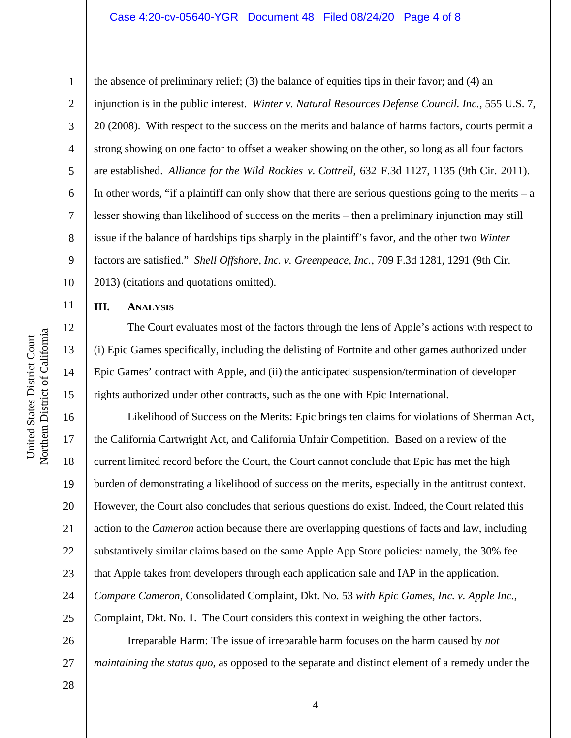#### Case 4:20-cv-05640-YGR Document 48 Filed 08/24/20 Page 4 of 8

the absence of preliminary relief; (3) the balance of equities tips in their favor; and (4) an

injunction is in the public interest. *Winter v. Natural Resources Defense Council. Inc.,* 555 U.S. 7,

20 (2008). With respect to the success on the merits and balance of harms factors, courts permit a

strong showing on one factor to offset a weaker showing on the other, so long as all four factors

are established. *Alliance for the Wild Rockies v. Cottrell*, 632 F.3d 1127, 1135 (9th Cir. 2011).

In other words, "if a plaintiff can only show that there are serious questions going to the merits  $- a$ 

lesser showing than likelihood of success on the merits – then a preliminary injunction may still

issue if the balance of hardships tips sharply in the plaintiff's favor, and the other two *Winter* 

factors are satisfied." *Shell Offshore, Inc. v. Greenpeace, Inc.*, 709 F.3d 1281, 1291 (9th Cir.

10 11

1

2

3

4

5

6

7

8

9

12

13

14

15

16

17

18

19

20

21

22

23

24

25

28

### **III. ANALYSIS**

2013) (citations and quotations omitted).

The Court evaluates most of the factors through the lens of Apple's actions with respect to (i) Epic Games specifically, including the delisting of Fortnite and other games authorized under Epic Games' contract with Apple, and (ii) the anticipated suspension/termination of developer rights authorized under other contracts, such as the one with Epic International.

Likelihood of Success on the Merits: Epic brings ten claims for violations of Sherman Act, the California Cartwright Act, and California Unfair Competition. Based on a review of the current limited record before the Court, the Court cannot conclude that Epic has met the high burden of demonstrating a likelihood of success on the merits, especially in the antitrust context. However, the Court also concludes that serious questions do exist. Indeed, the Court related this action to the *Cameron* action because there are overlapping questions of facts and law, including substantively similar claims based on the same Apple App Store policies: namely, the 30% fee that Apple takes from developers through each application sale and IAP in the application. *Compare Cameron*, Consolidated Complaint, Dkt. No. 53 *with Epic Games, Inc. v. Apple Inc.*, Complaint, Dkt. No. 1. The Court considers this context in weighing the other factors.

26 27 Irreparable Harm: The issue of irreparable harm focuses on the harm caused by *not maintaining the status quo*, as opposed to the separate and distinct element of a remedy under the

4

United States District Court United States District Court Northern District of Californi

a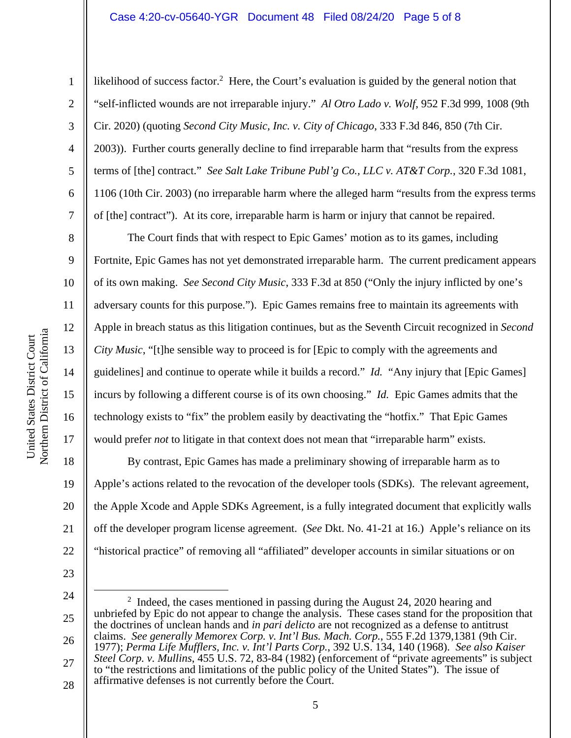#### Case 4:20-cv-05640-YGR Document 48 Filed 08/24/20 Page 5 of 8

1

2

3

4

5

6

7

8

9

10

11

12

13

14

15

16

17

18

19

20

21

22

likelihood of success factor.<sup>2</sup> Here, the Court's evaluation is guided by the general notion that "self-inflicted wounds are not irreparable injury." *Al Otro Lado v. Wolf*, 952 F.3d 999, 1008 (9th Cir. 2020) (quoting *Second City Music, Inc. v. City of Chicago*, 333 F.3d 846, 850 (7th Cir. 2003)). Further courts generally decline to find irreparable harm that "results from the express terms of [the] contract." *See Salt Lake Tribune Publ'g Co., LLC v. AT&T Corp.*, 320 F.3d 1081, 1106 (10th Cir. 2003) (no irreparable harm where the alleged harm "results from the express terms of [the] contract"). At its core, irreparable harm is harm or injury that cannot be repaired.

The Court finds that with respect to Epic Games' motion as to its games, including Fortnite, Epic Games has not yet demonstrated irreparable harm. The current predicament appears of its own making. *See Second City Music*, 333 F.3d at 850 ("Only the injury inflicted by one's adversary counts for this purpose."). Epic Games remains free to maintain its agreements with Apple in breach status as this litigation continues, but as the Seventh Circuit recognized in *Second City Music*, "[t]he sensible way to proceed is for [Epic to comply with the agreements and guidelines] and continue to operate while it builds a record." *Id.* "Any injury that [Epic Games] incurs by following a different course is of its own choosing." *Id.* Epic Games admits that the technology exists to "fix" the problem easily by deactivating the "hotfix." That Epic Games would prefer *not* to litigate in that context does not mean that "irreparable harm" exists.

By contrast, Epic Games has made a preliminary showing of irreparable harm as to Apple's actions related to the revocation of the developer tools (SDKs). The relevant agreement, the Apple Xcode and Apple SDKs Agreement, is a fully integrated document that explicitly walls off the developer program license agreement. (*See* Dkt. No. 41-21 at 16.) Apple's reliance on its "historical practice" of removing all "affiliated" developer accounts in similar situations or on

- 23
- 24 25 26 27 <sup>2</sup> Indeed, the cases mentioned in passing during the August 24, 2020 hearing and unbriefed by Epic do not appear to change the analysis. These cases stand for the proposition that the doctrines of unclean hands and *in pari delicto* are not recognized as a defense to antitrust claims. *See generally Memorex Corp. v. Int'l Bus. Mach. Corp.*, 555 F.2d 1379,1381 (9th Cir. 1977); *Perma Life Mufflers, Inc. v. Int'l Parts Corp.*, 392 U.S. 134, 140 (1968). *See also Kaiser Steel Corp. v. Mullins*, 455 U.S. 72, 83-84 (1982) (enforcement of "private agreements" is subject to "the restrictions and limitations of the public policy of the United States"). The issue of affirmative defenses is not currently before the Court.
- 28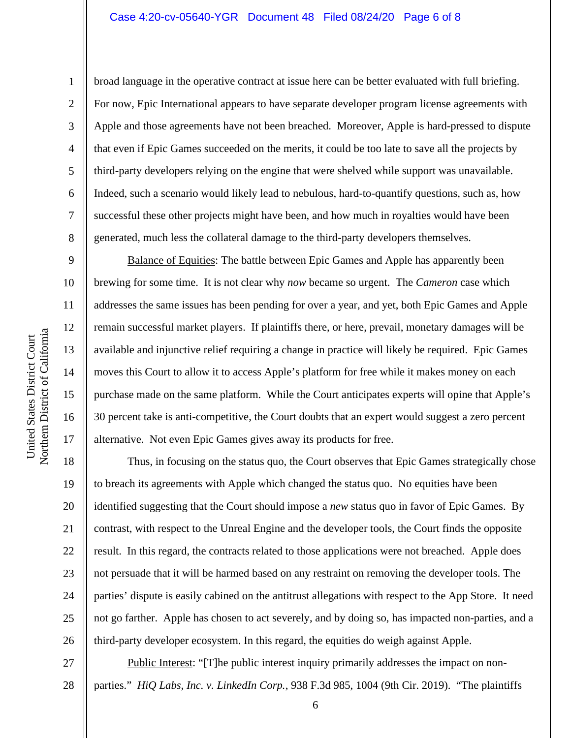#### Case 4:20-cv-05640-YGR Document 48 Filed 08/24/20 Page 6 of 8

a United States District Court United States District Court Northern District of Californi

1

2

3

4

5

7

8

9

10

11

12

13

14

15

16

17

6 broad language in the operative contract at issue here can be better evaluated with full briefing. For now, Epic International appears to have separate developer program license agreements with Apple and those agreements have not been breached. Moreover, Apple is hard-pressed to dispute that even if Epic Games succeeded on the merits, it could be too late to save all the projects by third-party developers relying on the engine that were shelved while support was unavailable. Indeed, such a scenario would likely lead to nebulous, hard-to-quantify questions, such as, how successful these other projects might have been, and how much in royalties would have been generated, much less the collateral damage to the third-party developers themselves.

Balance of Equities: The battle between Epic Games and Apple has apparently been brewing for some time. It is not clear why *now* became so urgent. The *Cameron* case which addresses the same issues has been pending for over a year, and yet, both Epic Games and Apple remain successful market players. If plaintiffs there, or here, prevail, monetary damages will be available and injunctive relief requiring a change in practice will likely be required. Epic Games moves this Court to allow it to access Apple's platform for free while it makes money on each purchase made on the same platform. While the Court anticipates experts will opine that Apple's 30 percent take is anti-competitive, the Court doubts that an expert would suggest a zero percent alternative. Not even Epic Games gives away its products for free.

18 19 20 21 22 23 24 25 26 Thus, in focusing on the status quo, the Court observes that Epic Games strategically chose to breach its agreements with Apple which changed the status quo. No equities have been identified suggesting that the Court should impose a *new* status quo in favor of Epic Games. By contrast, with respect to the Unreal Engine and the developer tools, the Court finds the opposite result. In this regard, the contracts related to those applications were not breached. Apple does not persuade that it will be harmed based on any restraint on removing the developer tools. The parties' dispute is easily cabined on the antitrust allegations with respect to the App Store. It need not go farther. Apple has chosen to act severely, and by doing so, has impacted non-parties, and a third-party developer ecosystem. In this regard, the equities do weigh against Apple.

27 28 Public Interest: "[T]he public interest inquiry primarily addresses the impact on nonparties." *HiQ Labs, Inc. v. LinkedIn Corp.*, 938 F.3d 985, 1004 (9th Cir. 2019). "The plaintiffs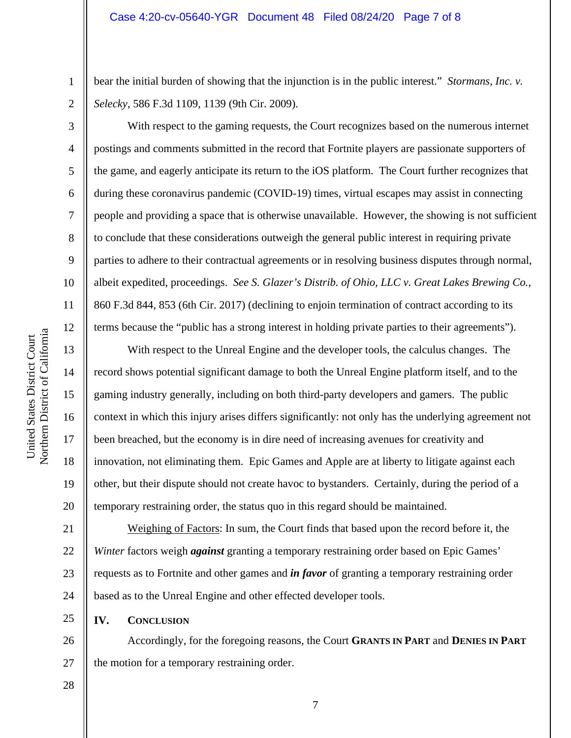bear the initial burden of showing that the injunction is in the public interest." *Stormans, Inc. v. Selecky*, 586 F.3d 1109, 1139 (9th Cir. 2009).

With respect to the gaming requests, the Court recognizes based on the numerous internet postings and comments submitted in the record that Fortnite players are passionate supporters of the game, and eagerly anticipate its return to the iOS platform. The Court further recognizes that during these coronavirus pandemic (COVID-19) times, virtual escapes may assist in connecting people and providing a space that is otherwise unavailable. However, the showing is not sufficient to conclude that these considerations outweigh the general public interest in requiring private parties to adhere to their contractual agreements or in resolving business disputes through normal, albeit expedited, proceedings. *See S. Glazer's Distrib. of Ohio, LLC v. Great Lakes Brewing Co.*, 860 F.3d 844, 853 (6th Cir. 2017) (declining to enjoin termination of contract according to its terms because the "public has a strong interest in holding private parties to their agreements").

With respect to the Unreal Engine and the developer tools, the calculus changes. The record shows potential significant damage to both the Unreal Engine platform itself, and to the gaming industry generally, including on both third-party developers and gamers. The public context in which this injury arises differs significantly: not only has the underlying agreement not been breached, but the economy is in dire need of increasing avenues for creativity and innovation, not eliminating them. Epic Games and Apple are at liberty to litigate against each other, but their dispute should not create havoc to bystanders. Certainly, during the period of a temporary restraining order, the status quo in this regard should be maintained.

21 22 23 24 Weighing of Factors: In sum, the Court finds that based upon the record before it, the *Winter* factors weigh *against* granting a temporary restraining order based on Epic Games' requests as to Fortnite and other games and *in favor* of granting a temporary restraining order based as to the Unreal Engine and other effected developer tools.

**IV. CONCLUSION**

26 27 Accordingly, for the foregoing reasons, the Court **GRANTS IN PART** and **DENIES IN PART** the motion for a temporary restraining order.

a United States District Court United States District Court Northern District of Californi

1

2

3

4

5

6

7

8

9

10

11

12

13

14

15

16

17

18

19

20

28

25